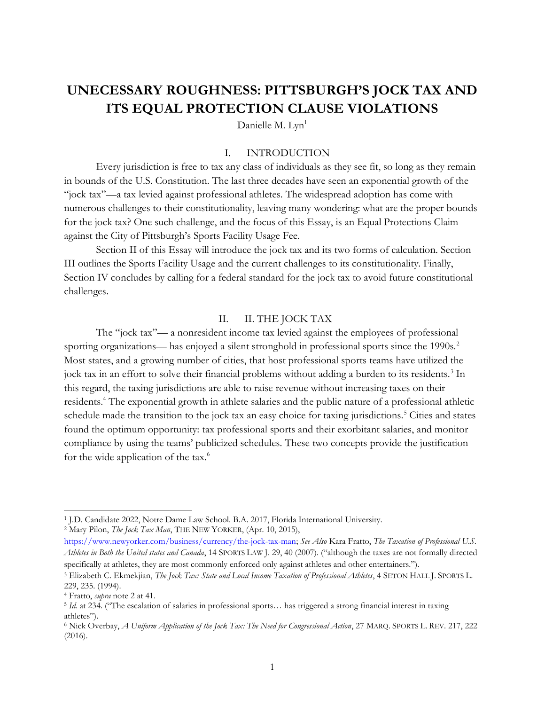# UNECESSARY ROUGHNESS: PITTSBURGH'S JOCK TAX AND ITS EQUAL PROTECTION CLAUSE VIOLATIONS

Danielle M. Lyn<sup>1</sup>

#### I. INTRODUCTION

Every jurisdiction is free to tax any class of individuals as they see fit, so long as they remain in bounds of the U.S. Constitution. The last three decades have seen an exponential growth of the "jock tax"—a tax levied against professional athletes. The widespread adoption has come with numerous challenges to their constitutionality, leaving many wondering: what are the proper bounds for the jock tax? One such challenge, and the focus of this Essay, is an Equal Protections Claim against the City of Pittsburgh's Sports Facility Usage Fee.

Section II of this Essay will introduce the jock tax and its two forms of calculation. Section III outlines the Sports Facility Usage and the current challenges to its constitutionality. Finally, Section IV concludes by calling for a federal standard for the jock tax to avoid future constitutional challenges.

#### II. II. THE JOCK TAX

The "jock tax"— a nonresident income tax levied against the employees of professional sporting organizations— has enjoyed a silent stronghold in professional sports since the 1990s.<sup>2</sup> Most states, and a growing number of cities, that host professional sports teams have utilized the jock tax in an effort to solve their financial problems without adding a burden to its residents.<sup>3</sup> In this regard, the taxing jurisdictions are able to raise revenue without increasing taxes on their residents.<sup>4</sup> The exponential growth in athlete salaries and the public nature of a professional athletic schedule made the transition to the jock tax an easy choice for taxing jurisdictions.<sup>5</sup> Cities and states found the optimum opportunity: tax professional sports and their exorbitant salaries, and monitor compliance by using the teams' publicized schedules. These two concepts provide the justification for the wide application of the tax.<sup>6</sup>

<sup>&</sup>lt;sup>1</sup> J.D. Candidate 2022, Notre Dame Law School. B.A. 2017, Florida International University.

<sup>&</sup>lt;sup>2</sup> Mary Pilon, *The Jock Tax Man*, THE NEW YORKER, (Apr. 10, 2015),

https://www.newyorker.com/business/currency/the-jock-tax-man; See Also Kara Fratto, The Taxation of Professional U.S. Athletes in Both the United states and Canada, 14 SPORTS LAW J. 29, 40 (2007). ("although the taxes are not formally directed specifically at athletes, they are most commonly enforced only against athletes and other entertainers.").

<sup>&</sup>lt;sup>3</sup> Elizabeth C. Ekmekjian, The Jock Tax: State and Local Income Taxation of Professional Athletes, 4 SETON HALL J. SPORTS L. 229, 235. (1994).

<sup>&</sup>lt;sup>4</sup> Fratto, *supra* note 2 at 41.

<sup>5</sup> Id. at 234. ("The escalation of salaries in professional sports… has triggered a strong financial interest in taxing athletes").

<sup>&</sup>lt;sup>6</sup> Nick Overbay, A Uniform Application of the Jock Tax: The Need for Congressional Action, 27 MARQ. SPORTS L. REV. 217, 222 (2016).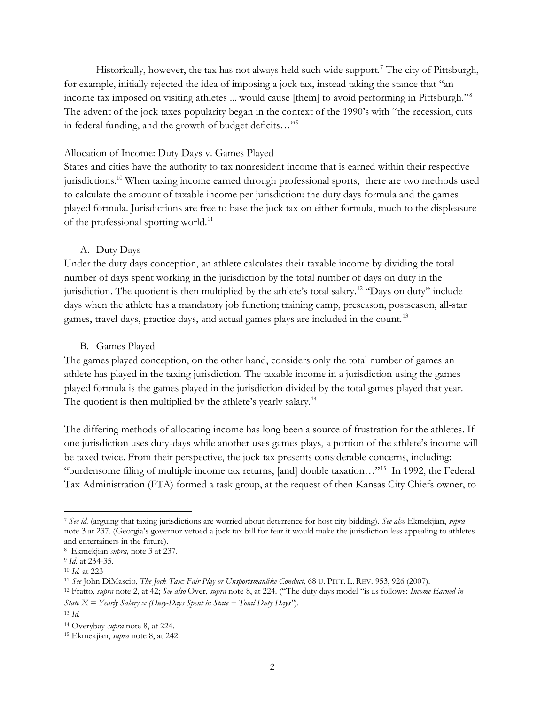Historically, however, the tax has not always held such wide support.<sup>7</sup> The city of Pittsburgh, for example, initially rejected the idea of imposing a jock tax, instead taking the stance that "an income tax imposed on visiting athletes ... would cause [them] to avoid performing in Pittsburgh."<sup>8</sup> The advent of the jock taxes popularity began in the context of the 1990's with "the recession, cuts in federal funding, and the growth of budget deficits…"<sup>9</sup>

#### Allocation of Income: Duty Days v. Games Played

States and cities have the authority to tax nonresident income that is earned within their respective jurisdictions.<sup>10</sup> When taxing income earned through professional sports, there are two methods used to calculate the amount of taxable income per jurisdiction: the duty days formula and the games played formula. Jurisdictions are free to base the jock tax on either formula, much to the displeasure of the professional sporting world.<sup>11</sup>

#### A. Duty Days

Under the duty days conception, an athlete calculates their taxable income by dividing the total number of days spent working in the jurisdiction by the total number of days on duty in the jurisdiction. The quotient is then multiplied by the athlete's total salary.<sup>12</sup> "Days on duty" include days when the athlete has a mandatory job function; training camp, preseason, postseason, all-star games, travel days, practice days, and actual games plays are included in the count.<sup>13</sup>

#### B. Games Played

The games played conception, on the other hand, considers only the total number of games an athlete has played in the taxing jurisdiction. The taxable income in a jurisdiction using the games played formula is the games played in the jurisdiction divided by the total games played that year. The quotient is then multiplied by the athlete's yearly salary.<sup>14</sup>

The differing methods of allocating income has long been a source of frustration for the athletes. If one jurisdiction uses duty-days while another uses games plays, a portion of the athlete's income will be taxed twice. From their perspective, the jock tax presents considerable concerns, including: "burdensome filing of multiple income tax returns, [and] double taxation…"<sup>15</sup> In 1992, the Federal Tax Administration (FTA) formed a task group, at the request of then Kansas City Chiefs owner, to

<sup>7</sup> See id. (arguing that taxing jurisdictions are worried about deterrence for host city bidding). See also Ekmekjian, supra note 3 at 237. (Georgia's governor vetoed a jock tax bill for fear it would make the jurisdiction less appealing to athletes and entertainers in the future).

<sup>&</sup>lt;sup>8</sup> Ekmekjian *supra*, note 3 at 237.

<sup>&</sup>lt;sup>9</sup> Id. at 234-35.

<sup>10</sup> Id. at 223

<sup>&</sup>lt;sup>11</sup> See John DiMascio, The Jock Tax: Fair Play or Unsportsmanlike Conduct, 68 U. PITT. L. REV. 953, 926 (2007).

<sup>&</sup>lt;sup>12</sup> Fratto, supra note 2, at 42; See also Over, supra note 8, at 224. ("The duty days model "is as follows: Income Earned in State  $X = \text{Yearly }$  Salary  $x$  (Duty-Days Spent in State – Total Duty Days'').

 $13 \text{ Id.}$ 

<sup>&</sup>lt;sup>14</sup> Overybay *supra* note 8, at 224.

<sup>15</sup> Ekmekjian, supra note 8, at 242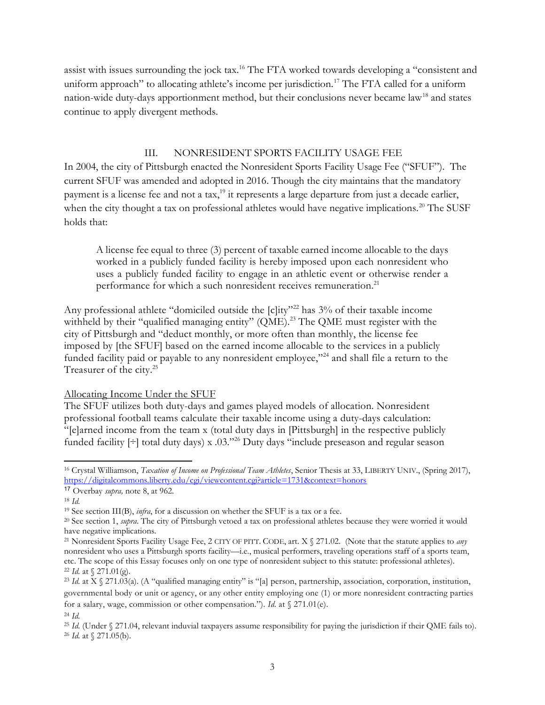assist with issues surrounding the jock tax.<sup>16</sup> The FTA worked towards developing a "consistent and uniform approach" to allocating athlete's income per jurisdiction.<sup>17</sup> The FTA called for a uniform nation-wide duty-days apportionment method, but their conclusions never became law<sup>18</sup> and states continue to apply divergent methods.

#### III. NONRESIDENT SPORTS FACILITY USAGE FEE

In 2004, the city of Pittsburgh enacted the Nonresident Sports Facility Usage Fee ("SFUF"). The current SFUF was amended and adopted in 2016. Though the city maintains that the mandatory payment is a license fee and not a tax,<sup>19</sup> it represents a large departure from just a decade earlier, when the city thought a tax on professional athletes would have negative implications.<sup>20</sup> The SUSF holds that:

A license fee equal to three (3) percent of taxable earned income allocable to the days worked in a publicly funded facility is hereby imposed upon each nonresident who uses a publicly funded facility to engage in an athletic event or otherwise render a performance for which a such nonresident receives remuneration.<sup>21</sup>

Any professional athlete "domiciled outside the [c]ity"<sup>22</sup> has 3% of their taxable income withheld by their "qualified managing entity" (QME).<sup>23</sup> The QME must register with the city of Pittsburgh and "deduct monthly, or more often than monthly, the license fee imposed by [the SFUF] based on the earned income allocable to the services in a publicly funded facility paid or payable to any nonresident employee,"<sup>24</sup> and shall file a return to the Treasurer of the city.<sup>25</sup>

#### Allocating Income Under the SFUF

The SFUF utilizes both duty-days and games played models of allocation. Nonresident professional football teams calculate their taxable income using a duty-days calculation: "[e]arned income from the team x (total duty days in [Pittsburgh] in the respective publicly funded facility  $[\div]$  total duty days) x .03."<sup>26</sup> Duty days "include preseason and regular season

<sup>&</sup>lt;sup>16</sup> Crystal Williamson, Taxation of Income on Professional Team Athletes, Senior Thesis at 33, LIBERTY UNIV., (Spring 2017), https://digitalcommons.liberty.edu/cgi/viewcontent.cgi?article=1731&context=honors

<sup>17</sup> Overbay supra, note 8, at 962.

<sup>18</sup> Id.

<sup>&</sup>lt;sup>19</sup> See section III(B), *infra*, for a discussion on whether the SFUF is a tax or a fee.

 $20$  See section 1, *supra*. The city of Pittsburgh vetoed a tax on professional athletes because they were worried it would have negative implications.

<sup>&</sup>lt;sup>21</sup> Nonresident Sports Facility Usage Fee, 2 CITY OF PITT. CODE, art. X  $\frac{6}{3}$  271.02. (Note that the statute applies to *any* nonresident who uses a Pittsburgh sports facility—i.e., musical performers, traveling operations staff of a sports team, etc. The scope of this Essay focuses only on one type of nonresident subject to this statute: professional athletes). <sup>22</sup> *Id.* at  $\{ 271.01(g). \}$ 

 $23$  Id. at X  $\frac{8}{271.03}$ (a). (A "qualified managing entity" is "[a] person, partnership, association, corporation, institution, governmental body or unit or agency, or any other entity employing one (1) or more nonresident contracting parties for a salary, wage, commission or other compensation."). Id. at  $\frac{271.01}{e}$ .  $^{24}$  *Id.* 

<sup>&</sup>lt;sup>25</sup> Id. (Under  $\&$  271.04, relevant induvial taxpayers assume responsibility for paying the jurisdiction if their OME fails to). <sup>26</sup> *Id.* at  $\sqrt{271.05}$ (b).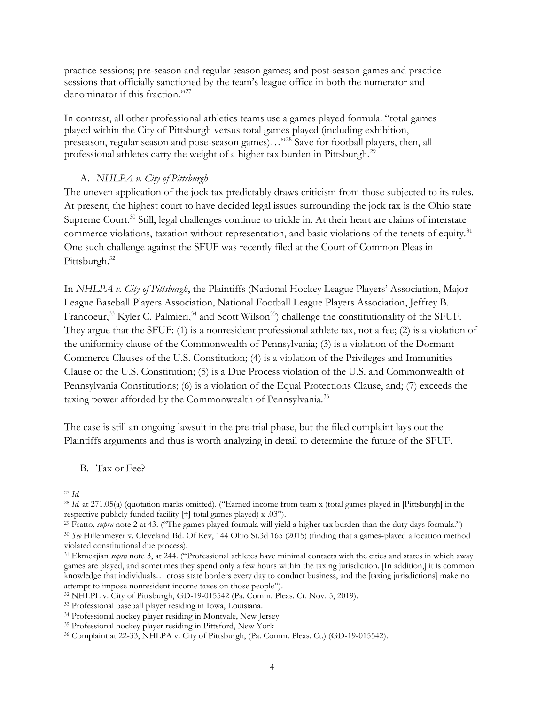practice sessions; pre-season and regular season games; and post-season games and practice sessions that officially sanctioned by the team's league office in both the numerator and denominator if this fraction."<sup>27</sup>

In contrast, all other professional athletics teams use a games played formula. "total games played within the City of Pittsburgh versus total games played (including exhibition, preseason, regular season and pose-season games)…"<sup>28</sup> Save for football players, then, all professional athletes carry the weight of a higher tax burden in Pittsburgh.<sup>29</sup>

### A. NHLPA v. City of Pittsburgh

The uneven application of the jock tax predictably draws criticism from those subjected to its rules. At present, the highest court to have decided legal issues surrounding the jock tax is the Ohio state Supreme Court.<sup>30</sup> Still, legal challenges continue to trickle in. At their heart are claims of interstate commerce violations, taxation without representation, and basic violations of the tenets of equity.<sup>31</sup> One such challenge against the SFUF was recently filed at the Court of Common Pleas in Pittsburgh.<sup>32</sup>

In NHLPA v. City of Pittsburgh, the Plaintiffs (National Hockey League Players' Association, Major League Baseball Players Association, National Football League Players Association, Jeffrey B. Francoeur,<sup>33</sup> Kyler C. Palmieri,<sup>34</sup> and Scott Wilson<sup>35</sup>) challenge the constitutionality of the SFUF. They argue that the SFUF: (1) is a nonresident professional athlete tax, not a fee; (2) is a violation of the uniformity clause of the Commonwealth of Pennsylvania; (3) is a violation of the Dormant Commerce Clauses of the U.S. Constitution; (4) is a violation of the Privileges and Immunities Clause of the U.S. Constitution; (5) is a Due Process violation of the U.S. and Commonwealth of Pennsylvania Constitutions; (6) is a violation of the Equal Protections Clause, and; (7) exceeds the taxing power afforded by the Commonwealth of Pennsylvania.<sup>36</sup>

The case is still an ongoing lawsuit in the pre-trial phase, but the filed complaint lays out the Plaintiffs arguments and thus is worth analyzing in detail to determine the future of the SFUF.

B. Tax or Fee?

<sup>27</sup> Id.

<sup>&</sup>lt;sup>28</sup> Id. at 271.05(a) (quotation marks omitted). ("Earned income from team x (total games played in [Pittsburgh] in the respective publicly funded facility [÷] total games played) x .03").

<sup>&</sup>lt;sup>29</sup> Fratto, *supra* note 2 at 43. ("The games played formula will yield a higher tax burden than the duty days formula.")

<sup>30</sup> See Hillenmeyer v. Cleveland Bd. Of Rev, 144 Ohio St.3d 165 (2015) (finding that a games-played allocation method violated constitutional due process).

 $31$  Ekmekjian *supra* note 3, at 244. ("Professional athletes have minimal contacts with the cities and states in which away games are played, and sometimes they spend only a few hours within the taxing jurisdiction. [In addition,] it is common knowledge that individuals… cross state borders every day to conduct business, and the [taxing jurisdictions] make no attempt to impose nonresident income taxes on those people").

<sup>32</sup> NHLPL v. City of Pittsburgh, GD-19-015542 (Pa. Comm. Pleas. Ct. Nov. 5, 2019).

<sup>33</sup> Professional baseball player residing in Iowa, Louisiana.

<sup>34</sup> Professional hockey player residing in Montvale, New Jersey.

<sup>35</sup> Professional hockey player residing in Pittsford, New York

<sup>36</sup> Complaint at 22-33, NHLPA v. City of Pittsburgh, (Pa. Comm. Pleas. Ct.) (GD-19-015542).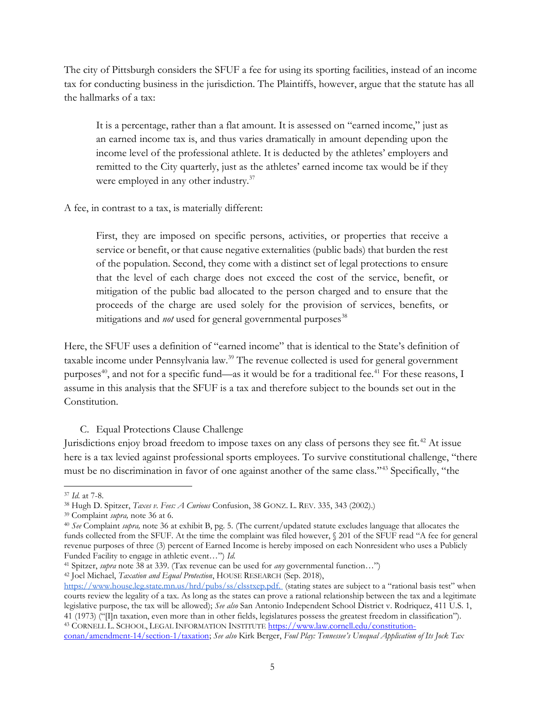The city of Pittsburgh considers the SFUF a fee for using its sporting facilities, instead of an income tax for conducting business in the jurisdiction. The Plaintiffs, however, argue that the statute has all the hallmarks of a tax:

It is a percentage, rather than a flat amount. It is assessed on "earned income," just as an earned income tax is, and thus varies dramatically in amount depending upon the income level of the professional athlete. It is deducted by the athletes' employers and remitted to the City quarterly, just as the athletes' earned income tax would be if they were employed in any other industry.<sup>37</sup>

A fee, in contrast to a tax, is materially different:

First, they are imposed on specific persons, activities, or properties that receive a service or benefit, or that cause negative externalities (public bads) that burden the rest of the population. Second, they come with a distinct set of legal protections to ensure that the level of each charge does not exceed the cost of the service, benefit, or mitigation of the public bad allocated to the person charged and to ensure that the proceeds of the charge are used solely for the provision of services, benefits, or mitigations and *not* used for general governmental purposes<sup>38</sup>

Here, the SFUF uses a definition of "earned income" that is identical to the State's definition of taxable income under Pennsylvania law.<sup>39</sup> The revenue collected is used for general government purposes<sup>40</sup>, and not for a specific fund—as it would be for a traditional fee.<sup>41</sup> For these reasons, I assume in this analysis that the SFUF is a tax and therefore subject to the bounds set out in the Constitution.

## C. Equal Protections Clause Challenge

Jurisdictions enjoy broad freedom to impose taxes on any class of persons they see fit.<sup>42</sup> At issue here is a tax levied against professional sports employees. To survive constitutional challenge, "there must be no discrimination in favor of one against another of the same class."<sup>43</sup> Specifically, "the

<sup>42</sup> Joel Michael, *Taxation and Equal Protection*, HOUSE RESEARCH (Sep. 2018),

<sup>37</sup> Id. at 7-8.

<sup>&</sup>lt;sup>38</sup> Hugh D. Spitzer, *Taxes v. Fees: A Curious* Confusion, 38 GONZ. L. REV. 335, 343 (2002).)

<sup>39</sup> Complaint supra, note 36 at 6.

 $40$  See Complaint supra, note 36 at exhibit B, pg. 5. (The current/updated statute excludes language that allocates the funds collected from the SFUF. At the time the complaint was filed however,  $\sqrt{201}$  of the SFUF read "A fee for general revenue purposes of three (3) percent of Earned Income is hereby imposed on each Nonresident who uses a Publicly Funded Facility to engage in athletic event…") Id.

<sup>&</sup>lt;sup>41</sup> Spitzer, *supra* note 38 at 339. (Tax revenue can be used for *any* governmental function...")

https://www.house.leg.state.mn.us/hrd/pubs/ss/clsstxep.pdf. (stating states are subject to a "rational basis test" when courts review the legality of a tax. As long as the states can prove a rational relationship between the tax and a legitimate legislative purpose, the tax will be allowed); See also San Antonio Independent School District v. Rodriquez, 411 U.S. 1, 41 (1973) ("[I]n taxation, even more than in other fields, legislatures possess the greatest freedom in classification"). 43 CORNELL L. SCHOOL, LEGAL INFORMATION INSTITUTE https://www.law.cornell.edu/constitution-

conan/amendment-14/section-1/taxation; See also Kirk Berger, Foul Play: Tennessee's Unequal Application of Its Jock Tax